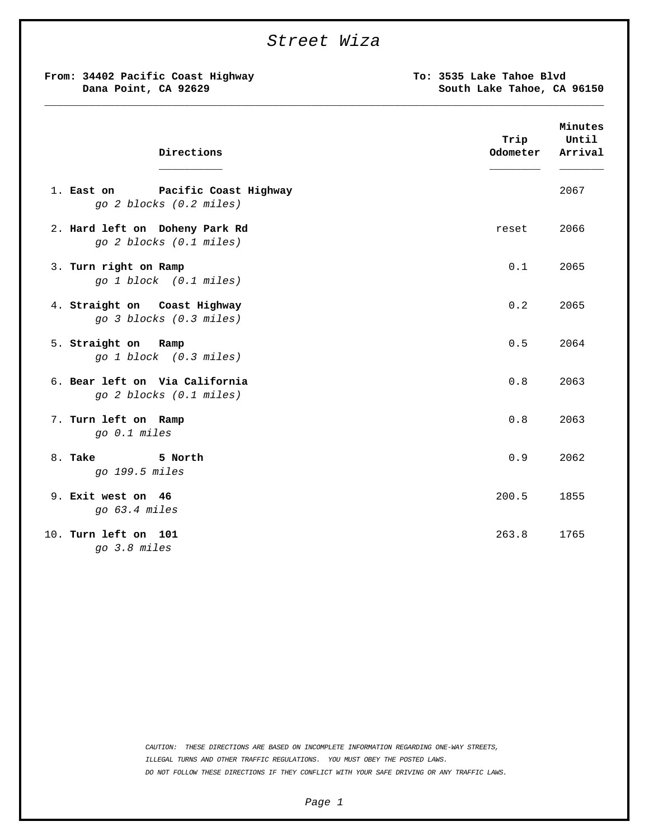| Street Wiza<br>From: 34402 Pacific Coast Highway<br>Dana Point, CA 92629 | To: 3535 Lake Tahoe Blvd<br>South Lake Tahoe, CA 96150 |
|--------------------------------------------------------------------------|--------------------------------------------------------|
| Directions                                                               | Minutes<br>Until<br>Trip<br>Odometer<br>Arrival        |
| 1. East on<br>Pacific Coast Highway<br>go 2 blocks (0.2 miles)           | 2067                                                   |
| 2. Hard left on Doheny Park Rd                                           | 2066                                                   |
| go 2 blocks (0.1 miles)                                                  | reset                                                  |
| 3. Turn right on Ramp                                                    | 0.1                                                    |
| go 1 block (0.1 miles)                                                   | 2065                                                   |
| 4. Straight on Coast Highway                                             | 0.2                                                    |
| go 3 blocks (0.3 miles)                                                  | 2065                                                   |
| 5. Straight on Ramp                                                      | 0.5                                                    |
| go 1 block (0.3 miles)                                                   | 2064                                                   |
| 6. Bear left on Via California                                           | 0.8                                                    |
| go 2 blocks (0.1 miles)                                                  | 2063                                                   |
| 7. Turn left on Ramp                                                     | 0.8                                                    |
| go 0.1 miles                                                             | 2063                                                   |
| 8. Take<br>5 North<br>go 199.5 miles                                     | 0.9<br>2062                                            |
| 9. Exit west on 46                                                       | 200.5                                                  |
| go 63.4 miles                                                            | 1855                                                   |
| 10. Turn left on 101                                                     | 263.8                                                  |
| go 3.8 miles                                                             | 1765                                                   |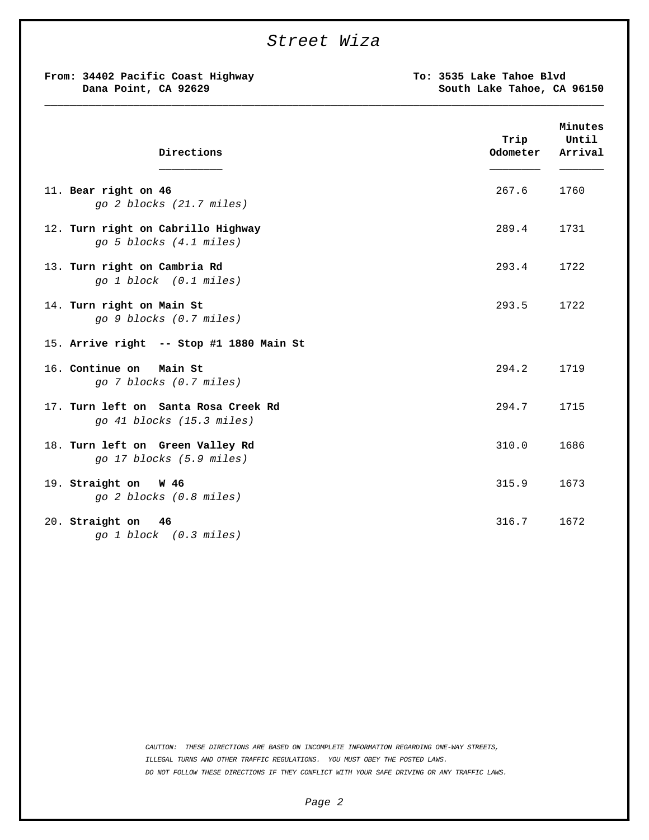## *Street Wiza*

**\_\_\_\_\_\_\_\_\_\_\_\_\_\_\_\_\_\_\_\_\_\_\_\_\_\_\_\_\_\_\_\_\_\_\_\_\_\_\_\_\_\_\_\_\_\_\_\_\_\_\_\_\_\_\_\_\_\_\_\_\_\_\_\_\_\_\_\_\_\_\_\_\_\_\_\_\_\_\_\_\_\_\_\_\_\_\_\_**

**From: 34402 Pacific Coast Highway Dana Point, CA 92629**

**To: 3535 Lake Tahoe Blvd South Lake Tahoe, CA 96150**

| Directions                                                        | Trip<br>Odometer | Minutes<br>Until<br>Arrival |
|-------------------------------------------------------------------|------------------|-----------------------------|
| 11. Bear right on 46<br>go 2 blocks (21.7 miles)                  | 267.6            | 1760                        |
| 12. Turn right on Cabrillo Highway<br>go 5 blocks (4.1 miles)     | 289.4            | 1731                        |
| 13. Turn right on Cambria Rd<br>go 1 block (0.1 miles)            | 293.4            | 1722                        |
| 14. Turn right on Main St<br>go 9 blocks (0.7 miles)              | 293.5            | 1722                        |
| 15. Arrive right -- Stop #1 1880 Main St                          |                  |                             |
| 16. Continue on<br>Main St<br>go 7 blocks (0.7 miles)             | 294.2            | 1719                        |
| 17. Turn left on Santa Rosa Creek Rd<br>go 41 blocks (15.3 miles) | 294.7            | 1715                        |
| 18. Turn left on Green Valley Rd<br>go 17 blocks (5.9 miles)      | 310.0            | 1686                        |
| 19. Straight on W 46<br>go 2 blocks (0.8 miles)                   | 315.9            | 1673                        |
| 20. Straight on<br>- 46<br>go 1 block (0.3 miles)                 | 316.7            | 1672                        |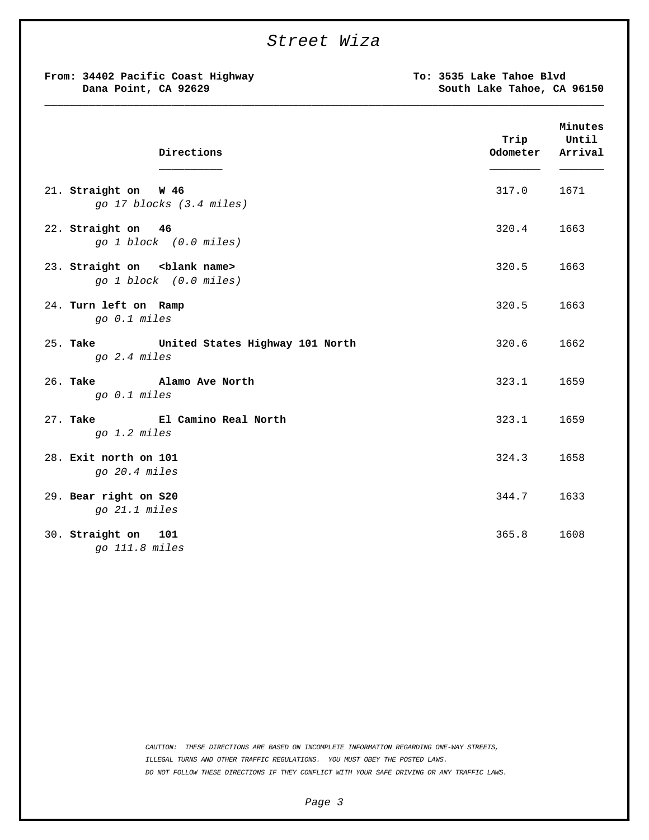| From: 34402 Pacific Coast Highway<br>Dana Point, CA 92629          | To: 3535 Lake Tahoe Blvd<br>South Lake Tahoe, CA 96150 |                             |
|--------------------------------------------------------------------|--------------------------------------------------------|-----------------------------|
| Directions                                                         | Trip<br>Odometer                                       | Minutes<br>Until<br>Arrival |
| 21. Straight on W 46<br>go 17 blocks (3.4 miles)                   | 317.0                                                  | 1671                        |
| 22. Straight on 46<br>go 1 block (0.0 miles)                       | 320.4                                                  | 1663                        |
| 23. Straight on <blank name=""><br/>go 1 block (0.0 miles)</blank> | 320.5                                                  | 1663                        |
| 24. Turn left on Ramp<br>go 0.1 miles                              | 320.5                                                  | 1663                        |
| 25. <b>Take</b><br>United States Highway 101 North<br>go 2.4 miles | 320.6                                                  | 1662                        |
| 26. Take 1. Alamo Ave North<br>go 0.1 miles                        | 323.1                                                  | 1659                        |
| $27.$ Take<br>El Camino Real North<br>go 1.2 miles                 | 323.1                                                  | 1659                        |
| 28. Exit north on 101<br>go 20.4 miles                             | 324.3                                                  | 1658                        |
| 29. Bear right on S20<br>go 21.1 miles                             | 344.7                                                  | 1633                        |
| 30. Straight on 101<br>go 111.8 miles                              | 365.8                                                  | 1608                        |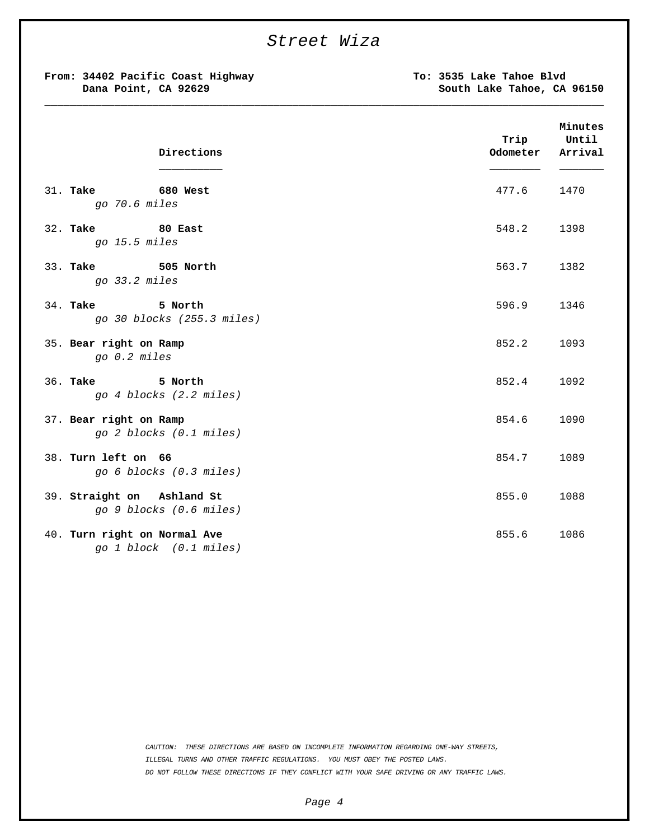|                        | From: 34402 Pacific Coast Highway<br>Dana Point, CA 92629 |                  | To: 3535 Lake Tahoe Blvd<br>South Lake Tahoe, CA 96150 |  |
|------------------------|-----------------------------------------------------------|------------------|--------------------------------------------------------|--|
|                        | Directions                                                | Trip<br>Odometer | Minutes<br>Until<br>Arrival                            |  |
|                        | 31. Take 680 West<br>go 70.6 miles                        | 477.6            | 1470                                                   |  |
|                        | 32. Take 80 East<br>go 15.5 miles                         | 548.2            | 1398                                                   |  |
|                        | 33. Take 505 North<br>go 33.2 miles                       | 563.7            | 1382                                                   |  |
| 34. <b>Take</b>        | 5 North<br>go 30 blocks (255.3 miles)                     | 596.9            | 1346                                                   |  |
| 35. Bear right on Ramp | go 0.2 miles                                              | 852.2            | 1093                                                   |  |
|                        | 36. Take 5 North<br>go 4 blocks (2.2 miles)               | 852.4            | 1092                                                   |  |
| 37. Bear right on Ramp | go 2 blocks (0.1 miles)                                   | 854.6            | 1090                                                   |  |
| 38. Turn left on 66    | go 6 blocks (0.3 miles)                                   | 854.7            | 1089                                                   |  |
|                        | 39. Straight on Ashland St<br>go 9 blocks (0.6 miles)     | 855.0            | 1088                                                   |  |
|                        | 40. Turn right on Normal Ave<br>go 1 block (0.1 miles)    | 855.6            | 1086                                                   |  |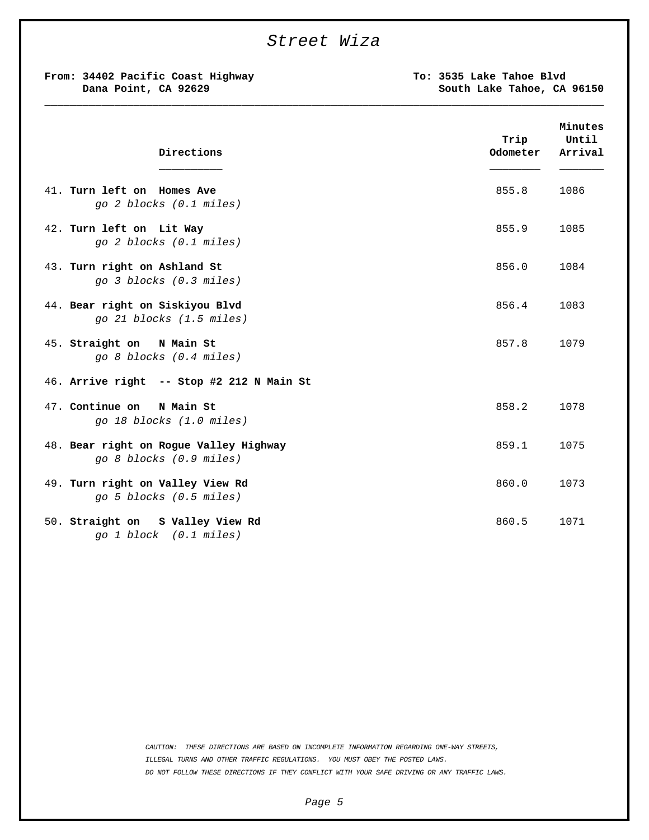## *Street Wiza*

**\_\_\_\_\_\_\_\_\_\_\_\_\_\_\_\_\_\_\_\_\_\_\_\_\_\_\_\_\_\_\_\_\_\_\_\_\_\_\_\_\_\_\_\_\_\_\_\_\_\_\_\_\_\_\_\_\_\_\_\_\_\_\_\_\_\_\_\_\_\_\_\_\_\_\_\_\_\_\_\_\_\_\_\_\_\_\_\_**

**From: 34402 Pacific Coast Highway Dana Point, CA 92629**

**To: 3535 Lake Tahoe Blvd South Lake Tahoe, CA 96150**

| Directions                                                        | Trip<br>Odometer | Minutes<br>Until<br>Arrival |
|-------------------------------------------------------------------|------------------|-----------------------------|
| 41. Turn left on Homes Ave<br>go 2 blocks (0.1 miles)             | 855.8            | 1086                        |
| 42. Turn left on Lit Way<br>go 2 blocks (0.1 miles)               | 855.9            | 1085                        |
| 43. Turn right on Ashland St<br>go 3 blocks (0.3 miles)           | 856.0            | 1084                        |
| 44. Bear right on Siskiyou Blvd<br>go 21 blocks (1.5 miles)       | 856.4            | 1083                        |
| 45. Straight on<br>N Main St<br>go 8 blocks (0.4 miles)           | 857.8            | 1079                        |
| 46. Arrive right -- Stop #2 212 N Main St                         |                  |                             |
| 47. Continue on<br>N Main St<br>go 18 blocks (1.0 miles)          | 858.2            | 1078                        |
| 48. Bear right on Rogue Valley Highway<br>go 8 blocks (0.9 miles) | 859.1            | 1075                        |
| 49. Turn right on Valley View Rd<br>go 5 blocks (0.5 miles)       | 860.0            | 1073                        |
| 50. Straight on S Valley View Rd<br>go 1 block (0.1 miles)        | 860.5            | 1071                        |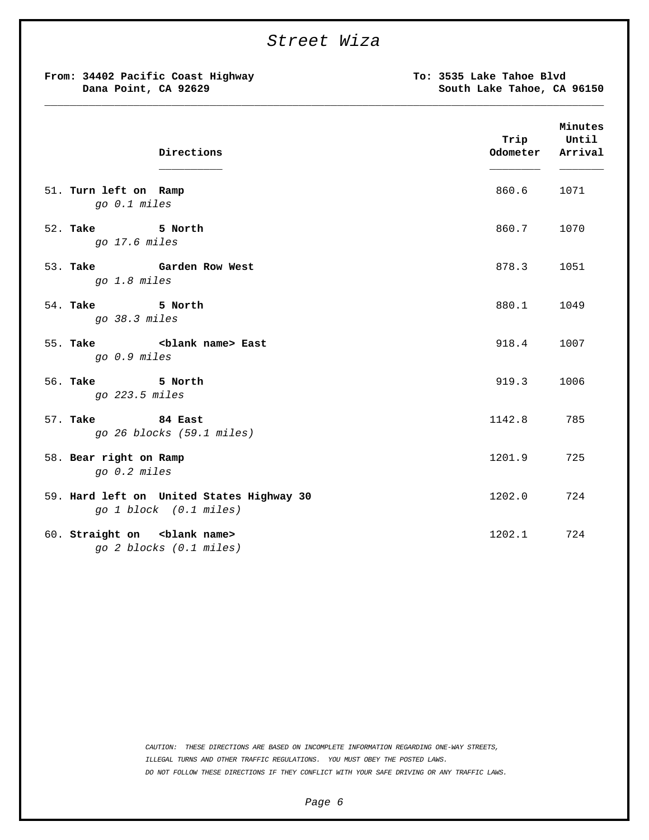|                                                           | Street Wiza                                                         |                                                        |                             |
|-----------------------------------------------------------|---------------------------------------------------------------------|--------------------------------------------------------|-----------------------------|
| From: 34402 Pacific Coast Highway<br>Dana Point, CA 92629 |                                                                     | To: 3535 Lake Tahoe Blvd<br>South Lake Tahoe, CA 96150 |                             |
|                                                           | Directions                                                          | Trip<br>Odometer                                       | Minutes<br>Until<br>Arrival |
| 51. Turn left on Ramp<br>go 0.1 miles                     |                                                                     | 860.6                                                  | 1071                        |
| 52. Take 5 North<br>go 17.6 miles                         |                                                                     | 860.7                                                  | 1070                        |
| go 1.8 miles                                              | 53. Take Garden Row West                                            | 878.3                                                  | 1051                        |
| 54. Take 5 North<br>go 38.3 miles                         |                                                                     | 880.1                                                  | 1049                        |
| go 0.9 miles                                              | 55. Take <blank name=""> East</blank>                               | 918.4                                                  | 1007                        |
| 56. Take 5 North<br>go 223.5 miles                        |                                                                     | 919.3                                                  | 1006                        |
| 57. Take 34 East                                          | go 26 blocks (59.1 miles)                                           | 1142.8                                                 | 785                         |
| 58. Bear right on Ramp<br>go 0.2 miles                    |                                                                     | 1201.9                                                 | 725                         |
|                                                           | 59. Hard left on United States Highway 30<br>go 1 block (0.1 miles) | 1202.0                                                 | 724                         |
|                                                           | 60. Straight on <blank name=""><br/>go 2 blocks (0.1 miles)</blank> | 1202.1                                                 | 724                         |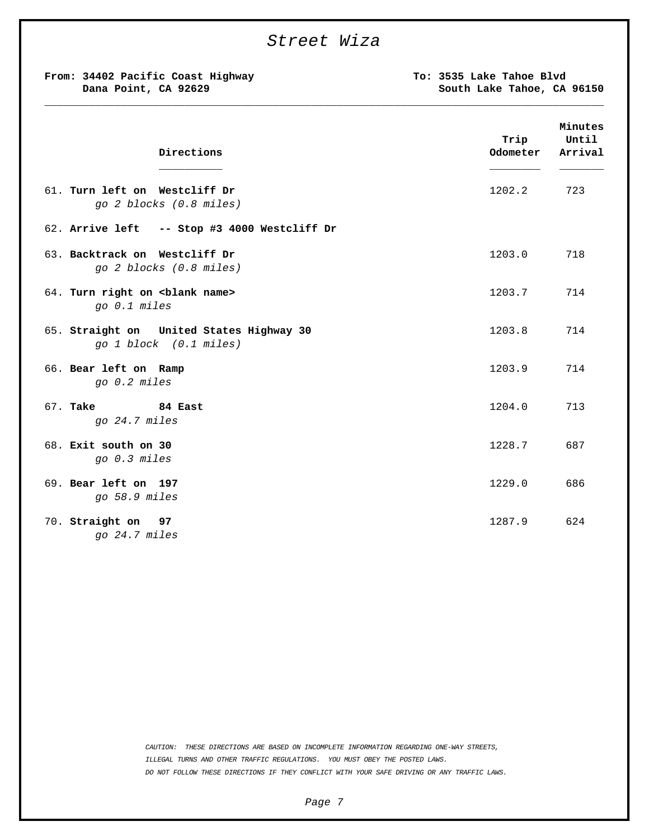|                                                                    | Street Wiza |                                                        |                             |
|--------------------------------------------------------------------|-------------|--------------------------------------------------------|-----------------------------|
| From: 34402 Pacific Coast Highway<br>Dana Point, CA 92629          |             | To: 3535 Lake Tahoe Blvd<br>South Lake Tahoe, CA 96150 |                             |
| Directions                                                         |             | Trip<br>Odometer                                       | Minutes<br>Until<br>Arrival |
| 61. Turn left on Westcliff Dr<br>go 2 blocks (0.8 miles)           |             | 1202.2                                                 | 723                         |
| 62. Arrive left -- Stop #3 4000 Westcliff Dr                       |             |                                                        |                             |
| 63. Backtrack on Westcliff Dr<br>go 2 blocks (0.8 miles)           |             | 1203.0                                                 | 718                         |
| 64. Turn right on <blank name=""><br/>go 0.1 miles</blank>         |             | 1203.7                                                 | 714                         |
| 65. Straight on United States Highway 30<br>go 1 block (0.1 miles) |             | 1203.8                                                 | 714                         |
| 66. Bear left on Ramp<br>go 0.2 miles                              |             | 1203.9                                                 | 714                         |
| 67. <b>Take</b><br>84 East<br>go 24.7 miles                        |             | 1204.0                                                 | 713                         |
| 68. Exit south on 30<br>go 0.3 miles                               |             | 1228.7                                                 | 687                         |
| 69. Bear left on 197<br>go 58.9 miles                              |             | 1229.0                                                 | 686                         |
| 70. Straight on<br>97<br>go 24.7 miles                             |             | 1287.9                                                 | 624                         |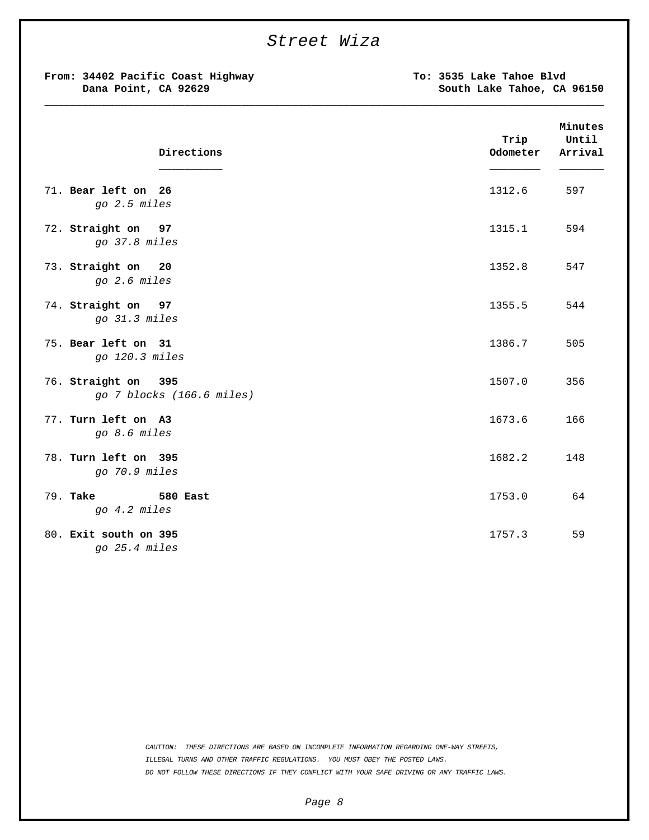| Street Wiza                                               |                                                        |                             |
|-----------------------------------------------------------|--------------------------------------------------------|-----------------------------|
| From: 34402 Pacific Coast Highway<br>Dana Point, CA 92629 | To: 3535 Lake Tahoe Blvd<br>South Lake Tahoe, CA 96150 |                             |
| Directions                                                | Trip<br>Odometer                                       | Minutes<br>Until<br>Arrival |
| 71. Bear left on 26<br>go 2.5 miles                       | 1312.6                                                 | 597                         |
| 72. Straight on 97<br>go 37.8 miles                       | 1315.1                                                 | 594                         |
| 73. Straight on 20<br>go 2.6 miles                        | 1352.8                                                 | 547                         |
| 74. Straight on 97<br>go 31.3 miles                       | 1355.5                                                 | 544                         |
| 75. Bear left on 31<br>go 120.3 miles                     | 1386.7                                                 | 505                         |
| 76. Straight on 395<br>go 7 blocks (166.6 miles)          | 1507.0                                                 | 356                         |
| 77. Turn left on A3<br>go 8.6 miles                       | 1673.6                                                 | 166                         |
| 78. Turn left on 395<br>go 70.9 miles                     | 1682.2                                                 | 148                         |
| 79. <b>Take</b><br>580 East<br>go 4.2 miles               | 1753.0                                                 | 64                          |
| 80. Exit south on 395<br>go 25.4 miles                    | 1757.3                                                 | 59                          |